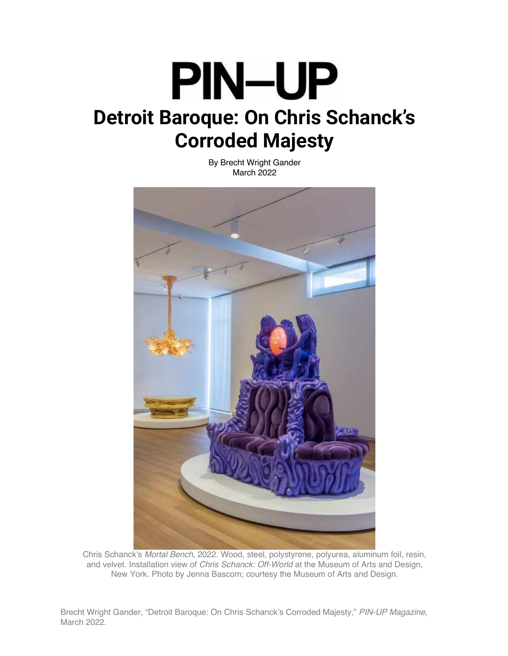## **PIN-UP Detroit Baroque: On Chris Schanck's Corroded Majesty**

By Brecht Wright Gander March 2022



Chris Schanck's *Mortal Bench*, 2022. Wood, steel, polystyrene, polyurea, aluminum foil, resin, and velvet. Installation view of *Chris Schanck: Off-World* at the Museum of Arts and Design, New York. Photo by Jenna Bascom; courtesy the Museum of Arts and Design.

Brecht Wright Gander, "Detroit Baroque: On Chris Schanck's Corroded Majesty," *PIN-UP Magazine*, March 2022.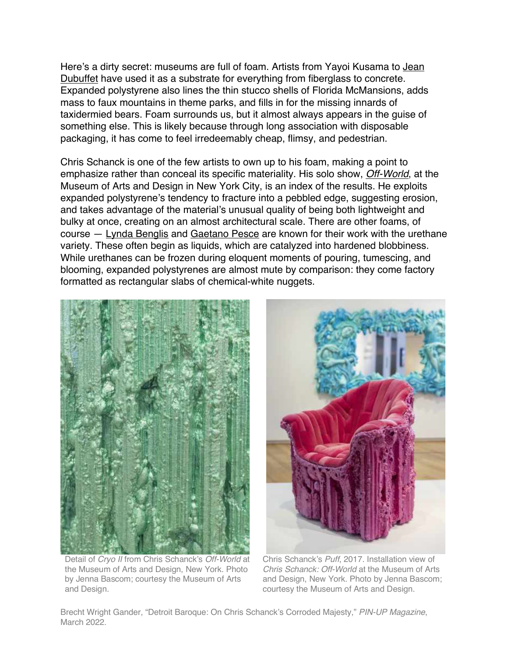Here's a dirty secret: museums are full of foam. Artists from Yayoi Kusama to Jean Dubuffet have used it as a substrate for everything from fiberglass to concrete. Expanded polystyrene also lines the thin stucco shells of Florida McMansions, adds mass to faux mountains in theme parks, and fills in for the missing innards of taxidermied bears. Foam surrounds us, but it almost always appears in the guise of something else. This is likely because through long association with disposable packaging, it has come to feel irredeemably cheap, flimsy, and pedestrian.

Chris Schanck is one of the few artists to own up to his foam, making a point to emphasize rather than conceal its specific materiality. His solo show, *Off-World*, at the Museum of Arts and Design in New York City, is an index of the results. He exploits expanded polystyrene's tendency to fracture into a pebbled edge, suggesting erosion, and takes advantage of the material's unusual quality of being both lightweight and bulky at once, creating on an almost architectural scale. There are other foams, of course – Lynda Benglis and Gaetano Pesce are known for their work with the urethane variety. These often begin as liquids, which are catalyzed into hardened blobbiness. While urethanes can be frozen during eloquent moments of pouring, tumescing, and blooming, expanded polystyrenes are almost mute by comparison: they come factory formatted as rectangular slabs of chemical-white nuggets.



 Detail of *Cryo II* from Chris Schanck's *Off-World* at the Museum of Arts and Design, New York. Photo by Jenna Bascom; courtesy the Museum of Arts and Design.

Chris Schanck's *Puff*, 2017. Installation view of *Chris Schanck: Off-World* at the Museum of Arts and Design, New York. Photo by Jenna Bascom; courtesy the Museum of Arts and Design.

Brecht Wright Gander, "Detroit Baroque: On Chris Schanck's Corroded Majesty," *PIN-UP Magazine*, March 2022.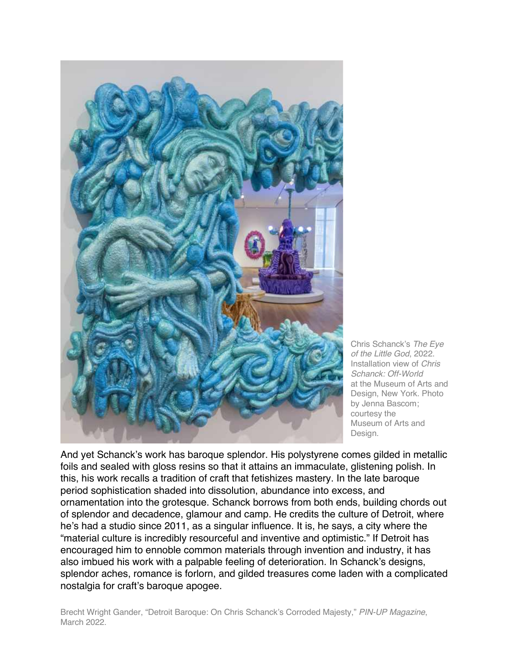

Chris Schanck's *The Eye of the Little God*, 2022. Installation view of *Chris Schanck: Off-World*  at the Museum of Arts and Design, New York. Photo by Jenna Bascom; courtesy the Museum of Arts and Design.

And yet Schanck's work has baroque splendor. His polystyrene comes gilded in metallic foils and sealed with gloss resins so that it attains an immaculate, glistening polish. In this, his work recalls a tradition of craft that fetishizes mastery. In the late baroque period sophistication shaded into dissolution, abundance into excess, and ornamentation into the grotesque. Schanck borrows from both ends, building chords out of splendor and decadence, glamour and camp. He credits the culture of Detroit, where he's had a studio since 2011, as a singular influence. It is, he says, a city where the "material culture is incredibly resourceful and inventive and optimistic." If Detroit has encouraged him to ennoble common materials through invention and industry, it has also imbued his work with a palpable feeling of deterioration. In Schanck's designs, splendor aches, romance is forlorn, and gilded treasures come laden with a complicated nostalgia for craft's baroque apogee.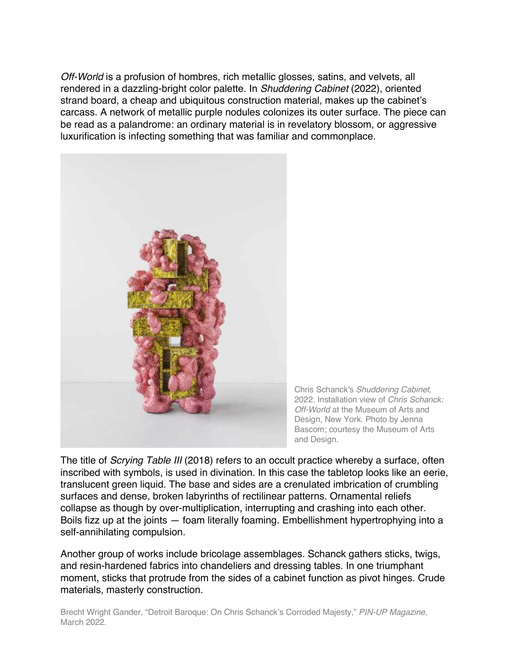*Off-World* is a profusion of hombres, rich metallic glosses, satins, and velvets, all rendered in a dazzling-bright color palette. In *Shuddering Cabinet* (2022), oriented strand board, a cheap and ubiquitous construction material, makes up the cabinet's carcass. A network of metallic purple nodules colonizes its outer surface. The piece can be read as a palandrome: an ordinary material is in revelatory blossom, or aggressive luxurification is infecting something that was familiar and commonplace.



Chris Schanck's *Shuddering Cabinet*, 2022. Installation view of *Chris Schanck: Off-World* at the Museum of Arts and Design, New York. Photo by Jenna Bascom; courtesy the Museum of Arts and Design.

The title of *Scrying Table III* (2018) refers to an occult practice whereby a surface, often inscribed with symbols, is used in divination. In this case the tabletop looks like an eerie, translucent green liquid. The base and sides are a crenulated imbrication of crumbling surfaces and dense, broken labyrinths of rectilinear patterns. Ornamental reliefs collapse as though by over-multiplication, interrupting and crashing into each other. Boils fizz up at the joints — foam literally foaming. Embellishment hypertrophying into a self-annihilating compulsion.

Another group of works include bricolage assemblages. Schanck gathers sticks, twigs, and resin-hardened fabrics into chandeliers and dressing tables. In one triumphant moment, sticks that protrude from the sides of a cabinet function as pivot hinges. Crude materials, masterly construction.

Brecht Wright Gander, "Detroit Baroque: On Chris Schanck's Corroded Majesty," *PIN-UP Magazine*, March 2022.